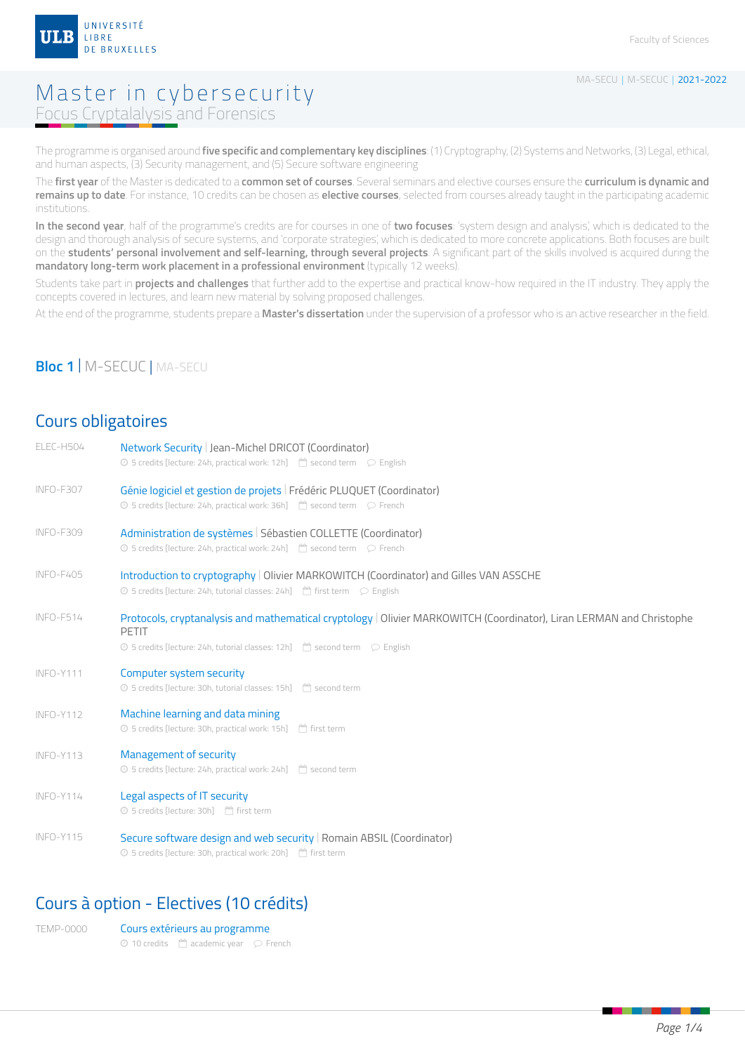

### Master in cybersecurity Focus Cryptalalysis and Forensics

The programme is organised around **five specific and complementary key disciplines**: (1) Cryptography, (2) Systems and Networks, (3) Legal, ethical, and human aspects, (3) Security management, and (5) Secure software engineering

The **first year** of the Master is dedicated to a **common set of courses**. Several seminars and elective courses ensure the **curriculum is dynamic and remains up to date**. For instance, 10 credits can be chosen as **elective courses**, selected from courses already taught in the participating academic institutions.

**In the second year**, half of the programme's credits are for courses in one of **two focuses**: 'system design and analysis', which is dedicated to the design and thorough analysis of secure systems, and 'corporate strategies', which is dedicated to more concrete applications. Both focuses are built on the **students' personal involvement and self-learning, through several projects**. A significant part of the skills involved is acquired during the **mandatory long-term work placement in a professional environment** (typically 12 weeks).

Students take part in **projects and challenges** that further add to the expertise and practical know-how required in the IT industry. They apply the concepts covered in lectures, and learn new material by solving proposed challenges.

At the end of the programme, students prepare a **Master's dissertation** under the supervision of a professor who is an active researcher in the field.

#### **Bloc 1** | M-SECUC | MA-SECU

#### Cours obligatoires

| ELEC-H504        | Network Security   Jean-Michel DRICOT (Coordinator)<br>⊙ 5 credits [lecture: 24h, practical work: 12h] <sup>△</sup> second term $\heartsuit$ English                                                                          |
|------------------|-------------------------------------------------------------------------------------------------------------------------------------------------------------------------------------------------------------------------------|
| INFO-F307        | Génie logiciel et gestion de projets   Frédéric PLUQUET (Coordinator)<br>⊙ 5 credits [lecture: 24h, practical work: 36h] <sup>△</sup> second term  ○ French                                                                   |
| <b>INFO-F309</b> | Administration de systèmes   Sébastien COLLETTE (Coordinator)<br>⊙ 5 credits [lecture: 24h, practical work: 24h] $\Box$ second term $\Box$ French                                                                             |
| INFO-F405        | Introduction to cryptography   Olivier MARKOWITCH (Coordinator) and Gilles VAN ASSCHE<br>⊙ 5 credits [lecture: 24h, tutorial classes: 24h] □ first term  ○ English                                                            |
| INFO-F514        | Protocols, cryptanalysis and mathematical cryptology   Olivier MARKOWITCH (Coordinator), Liran LERMAN and Christophe<br><b>PETIT</b><br>⊙ 5 credits [lecture: 24h, tutorial classes: 12h] <sup>△</sup> second term  ○ English |
| INFO-Y111        | Computer system security<br>⊙ 5 credits [lecture: 30h, tutorial classes: 15h] <sup>[44</sup> ] second term                                                                                                                    |
| INFO-Y112        | Machine learning and data mining<br>⊙ 5 credits [lecture: 30h, practical work: 15h] <sup>△</sup> first term                                                                                                                   |
| <b>INFO-Y113</b> | Management of security<br>⊙ 5 credits [lecture: 24h, practical work: 24h] <sup>[44</sup> ] second term                                                                                                                        |
| INFO-Y114        | Legal aspects of IT security<br>⊙ 5 credits [lecture: 30h] <sup>[44</sup> ] first term                                                                                                                                        |
| INFO-Y115        | Secure software design and web security   Romain ABSIL (Coordinator)<br>⊙ 5 credits [lecture: 30h, practical work: 20h] <sup>66</sup> first term                                                                              |
|                  |                                                                                                                                                                                                                               |

### Cours à option - Electives (10 crédits)

| TFMP-0000 | Cours extérieurs au programme                                  |  |
|-----------|----------------------------------------------------------------|--|
|           | $\odot$ 10 credits $\binom{m}{1}$ academic year $\odot$ French |  |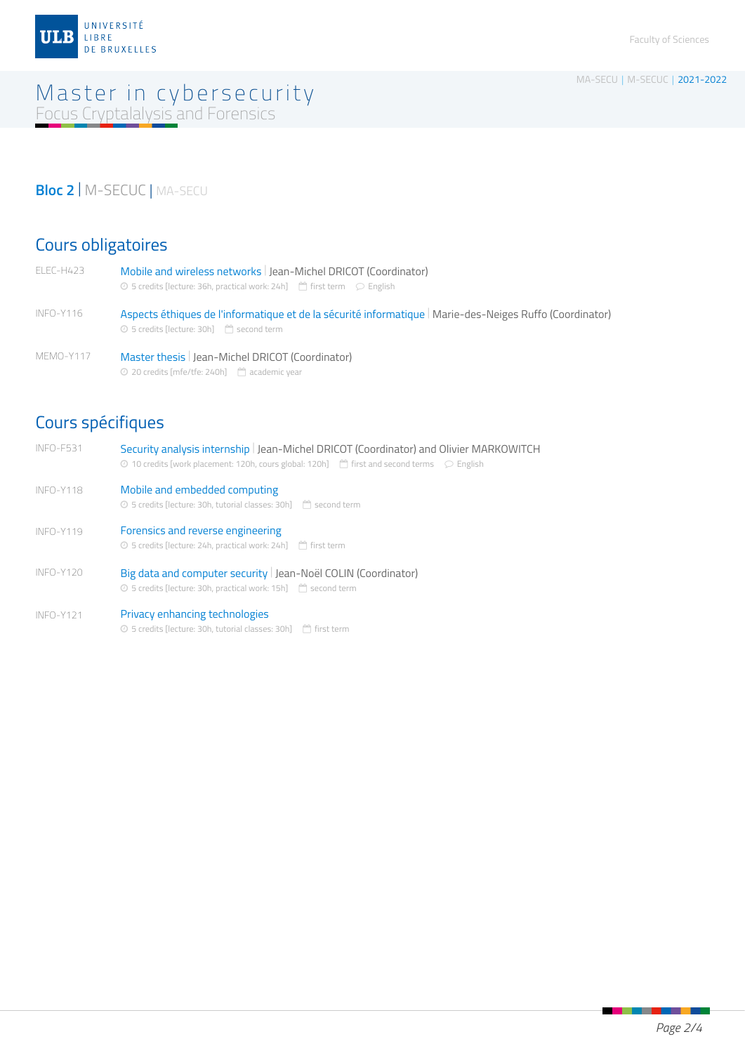

### Master in cybersecurity Focus Cryptalalysis and Forensics

# **Bloc 2** | M-SECUC | MA-SECU

## Cours obligatoires

| ELEC-H423 | Mobile and wireless networks   Jean-Michel DRICOT (Coordinator)<br>⊙ 5 credits [lecture: 36h, practical work: 24h] $\Box$ first term $\Box$ English                 |
|-----------|---------------------------------------------------------------------------------------------------------------------------------------------------------------------|
| INFO-Y116 | Aspects éthiques de l'informatique et de la sécurité informatique   Marie-des-Neiges Ruffo (Coordinator)<br>⊙ 5 credits [lecture: 30h] <sup>[44</sup> ] second term |
| MEMO-Y117 | Master thesis   Jean-Michel DRICOT (Coordinator)                                                                                                                    |

 $Q$  20 credits [mfe/tfe: 240h]  $\Box$  academic year

# Cours spécifiques

| INFO-F531   | Security analysis internship   Jean-Michel DRICOT (Coordinator) and Olivier MARKOWITCH<br>⊙ 10 credits [work placement: 120h, cours global: 120h] $^{\text{m}}$ first and second terms $\heartsuit$ English |
|-------------|-------------------------------------------------------------------------------------------------------------------------------------------------------------------------------------------------------------|
| INFO-Y118   | Mobile and embedded computing<br>⊙ 5 credits [lecture: 30h, tutorial classes: 30h] □ second term                                                                                                            |
| $INFO-Y119$ | Forensics and reverse engineering<br>⊙ 5 credits [lecture: 24h, practical work: 24h] <sup>[44</sup> ] first term                                                                                            |
| $INFO-Y120$ | Big data and computer security   Jean-Noël COLIN (Coordinator)<br>⊙ 5 credits [lecture: 30h, practical work: 15h] <sup>△</sup> second term                                                                  |
| INFO-Y121   | Privacy enhancing technologies<br>⊙ 5 credits [lecture: 30h, tutorial classes: 30h] [ <sup>44</sup> ] first term                                                                                            |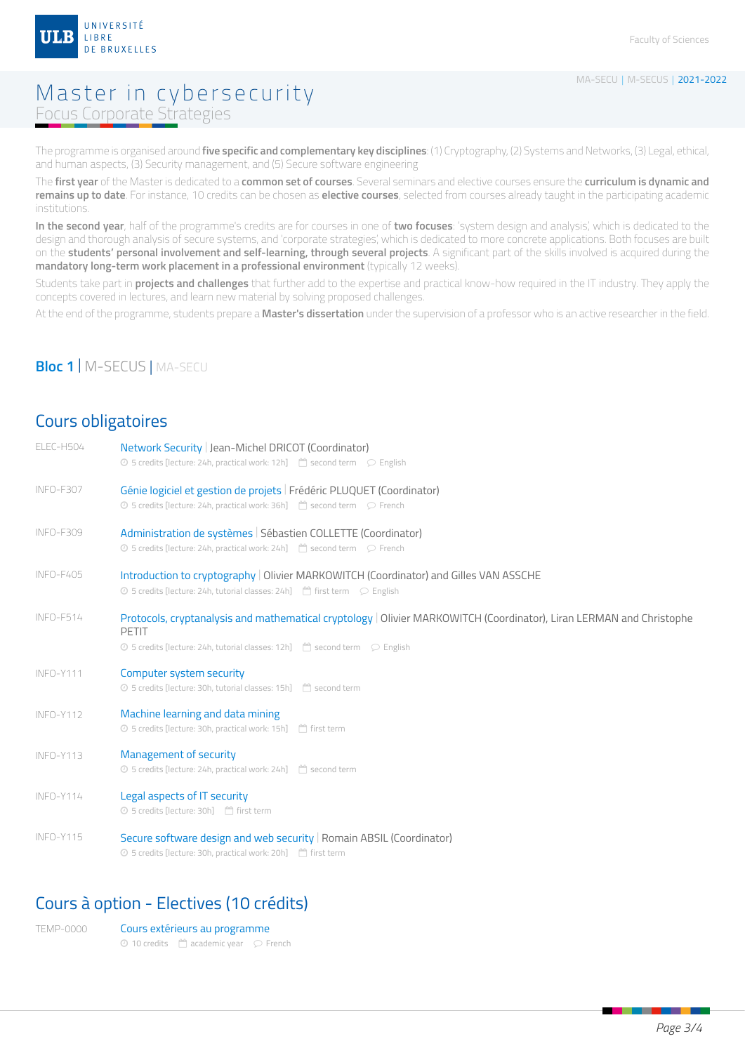

### Master in cybersecurity Focus Corporate Strategies

The programme is organised around **five specific and complementary key disciplines**: (1) Cryptography, (2) Systems and Networks, (3) Legal, ethical, and human aspects, (3) Security management, and (5) Secure software engineering

The **first year** of the Master is dedicated to a **common set of courses**. Several seminars and elective courses ensure the **curriculum is dynamic and remains up to date**. For instance, 10 credits can be chosen as **elective courses**, selected from courses already taught in the participating academic institutions.

**In the second year**, half of the programme's credits are for courses in one of **two focuses**: 'system design and analysis', which is dedicated to the design and thorough analysis of secure systems, and 'corporate strategies', which is dedicated to more concrete applications. Both focuses are built on the **students' personal involvement and self-learning, through several projects**. A significant part of the skills involved is acquired during the **mandatory long-term work placement in a professional environment** (typically 12 weeks).

Students take part in **projects and challenges** that further add to the expertise and practical know-how required in the IT industry. They apply the concepts covered in lectures, and learn new material by solving proposed challenges.

At the end of the programme, students prepare a **Master's dissertation** under the supervision of a professor who is an active researcher in the field.

#### **Bloc 1** | M-SECUS | MA-SECU

#### Cours obligatoires

| ELEC-H504        | Network Security   Jean-Michel DRICOT (Coordinator)<br>$\odot$ 5 credits [lecture: 24h, practical work: 12h] $\Box$ second term $\odot$ English                                |
|------------------|--------------------------------------------------------------------------------------------------------------------------------------------------------------------------------|
| INFO-F307        | Génie logiciel et gestion de projets   Frédéric PLUQUET (Coordinator)<br>$\odot$ 5 credits [lecture: 24h, practical work: 36h] $\Box$ second term $\odot$ French               |
| <b>INFO-F309</b> | Administration de systèmes   Sébastien COLLETTE (Coordinator)<br>$\circledcirc$ 5 credits [lecture: 24h, practical work: 24h] $\circledcirc$ second term $\circledcirc$ French |
| INFO-F405        | Introduction to cryptography   Olivier MARKOWITCH (Coordinator) and Gilles VAN ASSCHE<br>2 5 credits [lecture: 24h, tutorial classes: 24h] <sup>△</sup> first term  ○ English  |
| INFO-F514        | Protocols, cryptanalysis and mathematical cryptology   Olivier MARKOWITCH (Coordinator), Liran LERMAN and Christophe<br><b>PETIT</b>                                           |
| INFO-Y111        | Computer system security<br>⊙ 5 credits [lecture: 30h, tutorial classes: 15h] <sup>[44</sup> ] second term                                                                     |
| <b>INFO-Y112</b> | Machine learning and data mining<br>⊙ 5 credits [lecture: 30h, practical work: 15h] <sup>@</sup> first term                                                                    |
| INFO-Y113        | Management of security<br>⊙ 5 credits [lecture: 24h, practical work: 24h] <sup>△</sup> second term                                                                             |
| INFO-Y114        | Legal aspects of IT security<br>⊙ 5 credits [lecture: 30h] □ first term                                                                                                        |
| INFO-Y115        | Secure software design and web security   Romain ABSIL (Coordinator)<br>⊙ 5 credits [lecture: 30h, practical work: 20h] <sup>△</sup> first term                                |
|                  |                                                                                                                                                                                |

#### Cours à option - Electives (10 crédits)

| TFMP-0000 | Cours extérieurs au programme                                  |  |
|-----------|----------------------------------------------------------------|--|
|           | $\odot$ 10 credits $\binom{m}{1}$ academic year $\odot$ French |  |